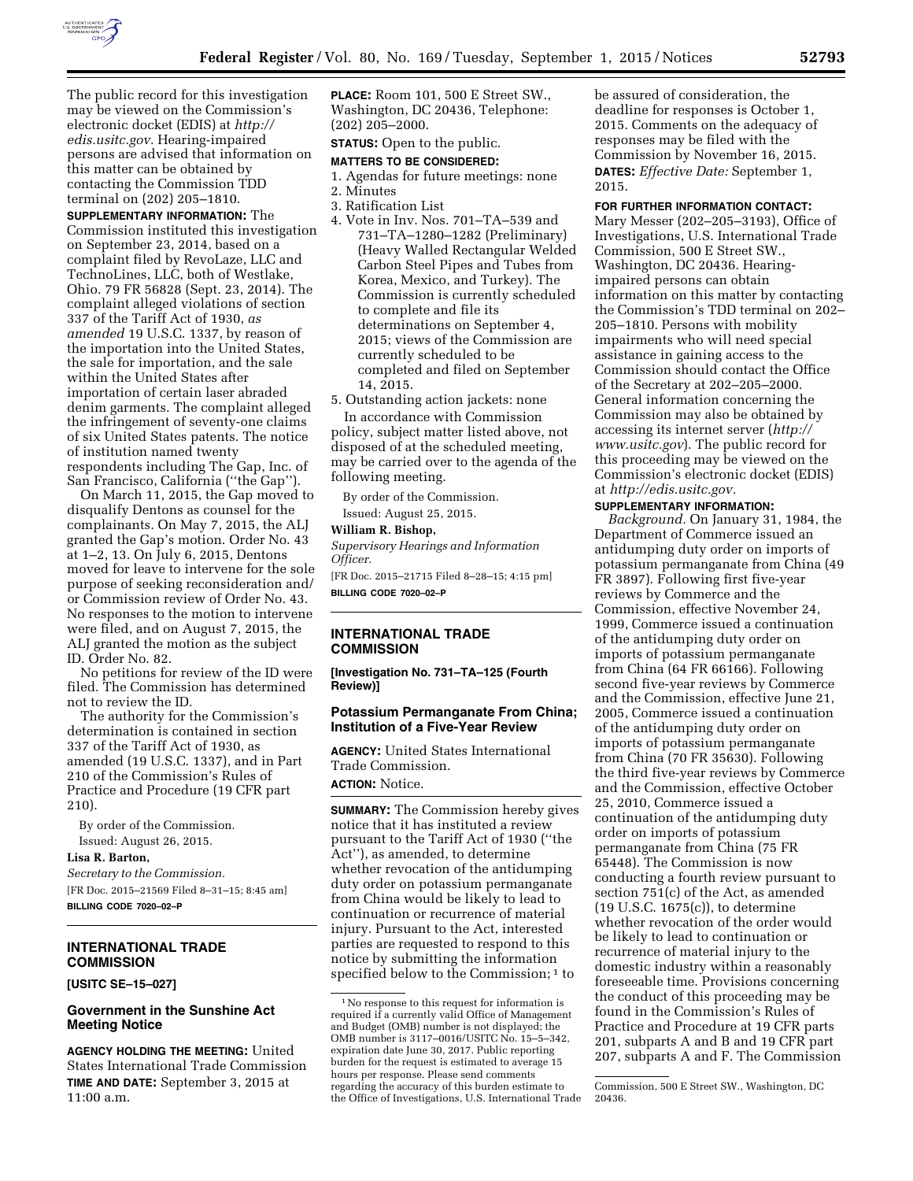

The public record for this investigation may be viewed on the Commission's electronic docket (EDIS) at *[http://](http://edis.usitc.gov) [edis.usitc.gov.](http://edis.usitc.gov)* Hearing-impaired **PLACE:** Room 101, 500 E Street SW., Washington, DC 20436, Telephone: (202) 205–2000.

# **STATUS:** Open to the public. **MATTERS TO BE CONSIDERED:**

1. Agendas for future meetings: none

# 2. Minutes

- 3. Ratification List
- 4. Vote in Inv. Nos. 701–TA–539 and 731–TA–1280–1282 (Preliminary) (Heavy Walled Rectangular Welded Carbon Steel Pipes and Tubes from Korea, Mexico, and Turkey). The Commission is currently scheduled to complete and file its determinations on September 4, 2015; views of the Commission are currently scheduled to be completed and filed on September 14, 2015.

5. Outstanding action jackets: none

In accordance with Commission policy, subject matter listed above, not disposed of at the scheduled meeting, may be carried over to the agenda of the following meeting.

By order of the Commission. Issued: August 25, 2015.

# **William R. Bishop,**

*Supervisory Hearings and Information Officer.* 

[FR Doc. 2015–21715 Filed 8–28–15; 4:15 pm] **BILLING CODE 7020–02–P** 

# **INTERNATIONAL TRADE COMMISSION**

**[Investigation No. 731–TA–125 (Fourth Review)]** 

# **Potassium Permanganate From China; Institution of a Five-Year Review**

**AGENCY:** United States International Trade Commission. **ACTION:** Notice.

**SUMMARY:** The Commission hereby gives notice that it has instituted a review pursuant to the Tariff Act of 1930 (''the Act''), as amended, to determine whether revocation of the antidumping duty order on potassium permanganate from China would be likely to lead to continuation or recurrence of material injury. Pursuant to the Act, interested parties are requested to respond to this notice by submitting the information specified below to the Commission;<sup>1</sup> to

be assured of consideration, the deadline for responses is October 1, 2015. Comments on the adequacy of responses may be filed with the Commission by November 16, 2015. **DATES:** *Effective Date:* September 1, 2015.

# **FOR FURTHER INFORMATION CONTACT:**

Mary Messer (202–205–3193), Office of Investigations, U.S. International Trade Commission, 500 E Street SW., Washington, DC 20436. Hearingimpaired persons can obtain information on this matter by contacting the Commission's TDD terminal on 202– 205–1810. Persons with mobility impairments who will need special assistance in gaining access to the Commission should contact the Office of the Secretary at 202–205–2000. General information concerning the Commission may also be obtained by accessing its internet server (*[http://](http://www.usitc.gov) [www.usitc.gov](http://www.usitc.gov)*). The public record for this proceeding may be viewed on the Commission's electronic docket (EDIS) at *[http://edis.usitc.gov.](http://edis.usitc.gov)* 

# **SUPPLEMENTARY INFORMATION:**

*Background.* On January 31, 1984, the Department of Commerce issued an antidumping duty order on imports of potassium permanganate from China (49 FR 3897). Following first five-year reviews by Commerce and the Commission, effective November 24, 1999, Commerce issued a continuation of the antidumping duty order on imports of potassium permanganate from China (64 FR 66166). Following second five-year reviews by Commerce and the Commission, effective June 21, 2005, Commerce issued a continuation of the antidumping duty order on imports of potassium permanganate from China (70 FR 35630). Following the third five-year reviews by Commerce and the Commission, effective October 25, 2010, Commerce issued a continuation of the antidumping duty order on imports of potassium permanganate from China (75 FR 65448). The Commission is now conducting a fourth review pursuant to section 751(c) of the Act, as amended (19 U.S.C. 1675(c)), to determine whether revocation of the order would be likely to lead to continuation or recurrence of material injury to the domestic industry within a reasonably foreseeable time. Provisions concerning the conduct of this proceeding may be found in the Commission's Rules of Practice and Procedure at 19 CFR parts 201, subparts A and B and 19 CFR part 207, subparts A and F. The Commission

persons are advised that information on this matter can be obtained by contacting the Commission TDD terminal on (202) 205–1810. **SUPPLEMENTARY INFORMATION:** The Commission instituted this investigation on September 23, 2014, based on a complaint filed by RevoLaze, LLC and TechnoLines, LLC, both of Westlake, Ohio. 79 FR 56828 (Sept. 23, 2014). The complaint alleged violations of section 337 of the Tariff Act of 1930, *as amended* 19 U.S.C. 1337, by reason of the importation into the United States, the sale for importation, and the sale within the United States after importation of certain laser abraded denim garments. The complaint alleged the infringement of seventy-one claims of six United States patents. The notice

of institution named twenty respondents including The Gap, Inc. of San Francisco, California (''the Gap'').

On March 11, 2015, the Gap moved to disqualify Dentons as counsel for the complainants. On May 7, 2015, the ALJ granted the Gap's motion. Order No. 43 at 1–2, 13. On July 6, 2015, Dentons moved for leave to intervene for the sole purpose of seeking reconsideration and/ or Commission review of Order No. 43. No responses to the motion to intervene were filed, and on August 7, 2015, the ALJ granted the motion as the subject ID. Order No. 82.

No petitions for review of the ID were filed. The Commission has determined not to review the ID.

The authority for the Commission's determination is contained in section 337 of the Tariff Act of 1930, as amended (19 U.S.C. 1337), and in Part 210 of the Commission's Rules of Practice and Procedure (19 CFR part 210).

By order of the Commission. Issued: August 26, 2015.

### **Lisa R. Barton,**

*Secretary to the Commission.*  [FR Doc. 2015–21569 Filed 8–31–15; 8:45 am] **BILLING CODE 7020–02–P** 

# **INTERNATIONAL TRADE COMMISSION**

# **[USITC SE–15–027]**

# **Government in the Sunshine Act Meeting Notice**

**AGENCY HOLDING THE MEETING:** United States International Trade Commission **TIME AND DATE:** September 3, 2015 at 11:00 a.m.

<sup>1</sup>No response to this request for information is required if a currently valid Office of Management and Budget (OMB) number is not displayed; the OMB number is 3117–0016/USITC No. 15–5–342, expiration date June 30, 2017. Public reporting burden for the request is estimated to average 15 hours per response. Please send comments regarding the accuracy of this burden estimate to the Office of Investigations, U.S. International Trade

Commission, 500 E Street SW., Washington, DC 20436.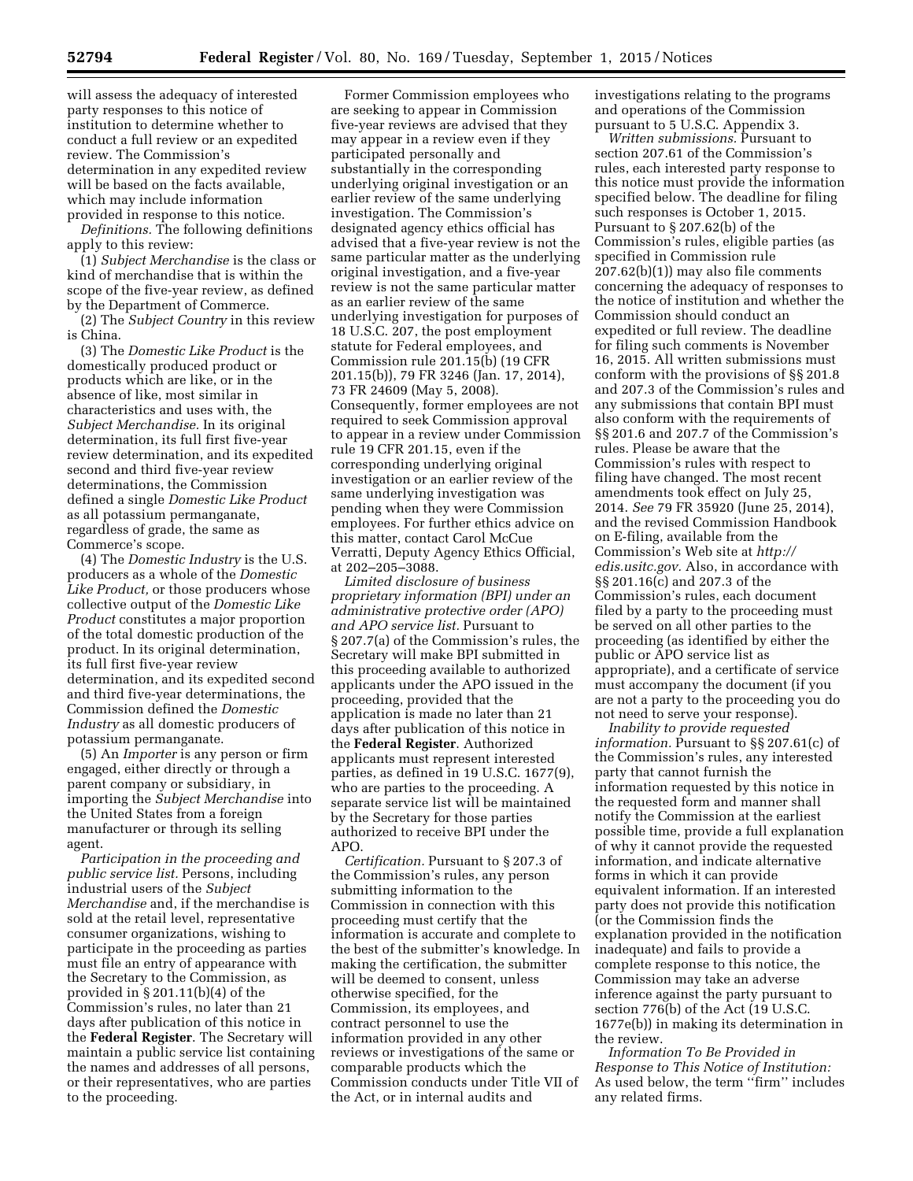will assess the adequacy of interested party responses to this notice of institution to determine whether to conduct a full review or an expedited review. The Commission's determination in any expedited review will be based on the facts available, which may include information provided in response to this notice.

*Definitions.* The following definitions apply to this review:

(1) *Subject Merchandise* is the class or kind of merchandise that is within the scope of the five-year review, as defined by the Department of Commerce.

(2) The *Subject Country* in this review is China.

(3) The *Domestic Like Product* is the domestically produced product or products which are like, or in the absence of like, most similar in characteristics and uses with, the *Subject Merchandise.* In its original determination, its full first five-year review determination, and its expedited second and third five-year review determinations, the Commission defined a single *Domestic Like Product*  as all potassium permanganate, regardless of grade, the same as Commerce's scope.

(4) The *Domestic Industry* is the U.S. producers as a whole of the *Domestic Like Product,* or those producers whose collective output of the *Domestic Like Product* constitutes a major proportion of the total domestic production of the product. In its original determination, its full first five-year review determination, and its expedited second and third five-year determinations, the Commission defined the *Domestic Industry* as all domestic producers of potassium permanganate.

(5) An *Importer* is any person or firm engaged, either directly or through a parent company or subsidiary, in importing the *Subject Merchandise* into the United States from a foreign manufacturer or through its selling agent.

*Participation in the proceeding and public service list.* Persons, including industrial users of the *Subject Merchandise* and, if the merchandise is sold at the retail level, representative consumer organizations, wishing to participate in the proceeding as parties must file an entry of appearance with the Secretary to the Commission, as provided in § 201.11(b)(4) of the Commission's rules, no later than 21 days after publication of this notice in the **Federal Register**. The Secretary will maintain a public service list containing the names and addresses of all persons, or their representatives, who are parties to the proceeding.

Former Commission employees who are seeking to appear in Commission five-year reviews are advised that they may appear in a review even if they participated personally and substantially in the corresponding underlying original investigation or an earlier review of the same underlying investigation. The Commission's designated agency ethics official has advised that a five-year review is not the same particular matter as the underlying original investigation, and a five-year review is not the same particular matter as an earlier review of the same underlying investigation for purposes of 18 U.S.C. 207, the post employment statute for Federal employees, and Commission rule 201.15(b) (19 CFR 201.15(b)), 79 FR 3246 (Jan. 17, 2014), 73 FR 24609 (May 5, 2008). Consequently, former employees are not required to seek Commission approval to appear in a review under Commission rule 19 CFR 201.15, even if the corresponding underlying original investigation or an earlier review of the same underlying investigation was pending when they were Commission employees. For further ethics advice on this matter, contact Carol McCue Verratti, Deputy Agency Ethics Official, at 202–205–3088.

*Limited disclosure of business proprietary information (BPI) under an administrative protective order (APO) and APO service list.* Pursuant to § 207.7(a) of the Commission's rules, the Secretary will make BPI submitted in this proceeding available to authorized applicants under the APO issued in the proceeding, provided that the application is made no later than 21 days after publication of this notice in the **Federal Register**. Authorized applicants must represent interested parties, as defined in 19 U.S.C. 1677(9), who are parties to the proceeding. A separate service list will be maintained by the Secretary for those parties authorized to receive BPI under the APO.

*Certification.* Pursuant to § 207.3 of the Commission's rules, any person submitting information to the Commission in connection with this proceeding must certify that the information is accurate and complete to the best of the submitter's knowledge. In making the certification, the submitter will be deemed to consent, unless otherwise specified, for the Commission, its employees, and contract personnel to use the information provided in any other reviews or investigations of the same or comparable products which the Commission conducts under Title VII of the Act, or in internal audits and

investigations relating to the programs and operations of the Commission pursuant to 5 U.S.C. Appendix 3.

*Written submissions.* Pursuant to section 207.61 of the Commission's rules, each interested party response to this notice must provide the information specified below. The deadline for filing such responses is October 1, 2015. Pursuant to § 207.62(b) of the Commission's rules, eligible parties (as specified in Commission rule 207.62(b)(1)) may also file comments concerning the adequacy of responses to the notice of institution and whether the Commission should conduct an expedited or full review. The deadline for filing such comments is November 16, 2015. All written submissions must conform with the provisions of §§ 201.8 and 207.3 of the Commission's rules and any submissions that contain BPI must also conform with the requirements of §§ 201.6 and 207.7 of the Commission's rules. Please be aware that the Commission's rules with respect to filing have changed. The most recent amendments took effect on July 25, 2014. *See* 79 FR 35920 (June 25, 2014), and the revised Commission Handbook on E-filing, available from the Commission's Web site at *[http://](http://edis.usitc.gov) [edis.usitc.gov.](http://edis.usitc.gov)* Also, in accordance with §§ 201.16(c) and 207.3 of the Commission's rules, each document filed by a party to the proceeding must be served on all other parties to the proceeding (as identified by either the public or APO service list as appropriate), and a certificate of service must accompany the document (if you are not a party to the proceeding you do not need to serve your response).

*Inability to provide requested information.* Pursuant to §§ 207.61(c) of the Commission's rules, any interested party that cannot furnish the information requested by this notice in the requested form and manner shall notify the Commission at the earliest possible time, provide a full explanation of why it cannot provide the requested information, and indicate alternative forms in which it can provide equivalent information. If an interested party does not provide this notification (or the Commission finds the explanation provided in the notification inadequate) and fails to provide a complete response to this notice, the Commission may take an adverse inference against the party pursuant to section 776(b) of the Act (19 U.S.C. 1677e(b)) in making its determination in the review.

*Information To Be Provided in Response to This Notice of Institution:*  As used below, the term ''firm'' includes any related firms.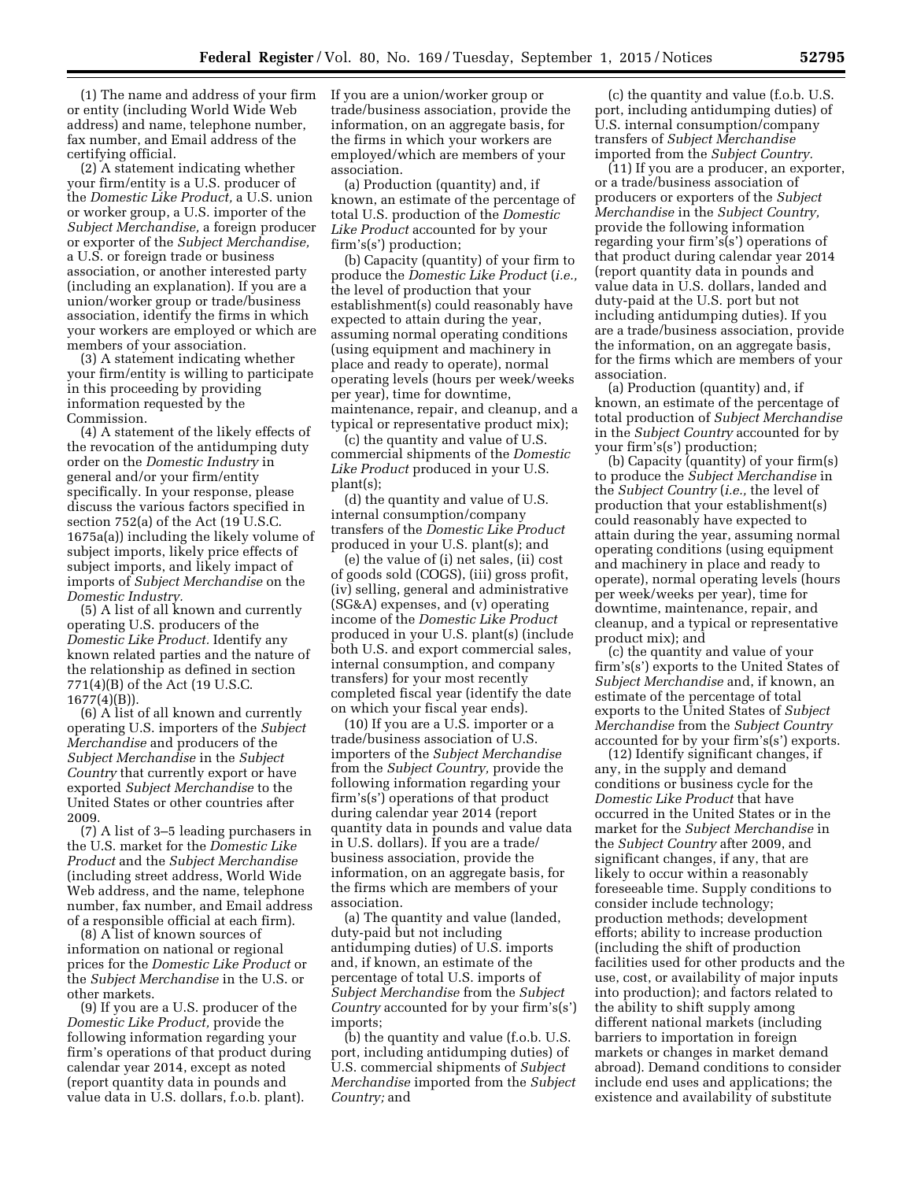(1) The name and address of your firm or entity (including World Wide Web address) and name, telephone number, fax number, and Email address of the certifying official.

(2) A statement indicating whether your firm/entity is a U.S. producer of the *Domestic Like Product,* a U.S. union or worker group, a U.S. importer of the *Subject Merchandise,* a foreign producer or exporter of the *Subject Merchandise,*  a U.S. or foreign trade or business association, or another interested party (including an explanation). If you are a union/worker group or trade/business association, identify the firms in which your workers are employed or which are members of your association.

(3) A statement indicating whether your firm/entity is willing to participate in this proceeding by providing information requested by the Commission.

(4) A statement of the likely effects of the revocation of the antidumping duty order on the *Domestic Industry* in general and/or your firm/entity specifically. In your response, please discuss the various factors specified in section 752(a) of the Act (19 U.S.C. 1675a(a)) including the likely volume of subject imports, likely price effects of subject imports, and likely impact of imports of *Subject Merchandise* on the *Domestic Industry.* 

(5) A list of all known and currently operating U.S. producers of the *Domestic Like Product.* Identify any known related parties and the nature of the relationship as defined in section 771(4)(B) of the Act (19 U.S.C.  $1677(4)(B)$ ).

(6) A list of all known and currently operating U.S. importers of the *Subject Merchandise* and producers of the *Subject Merchandise* in the *Subject Country* that currently export or have exported *Subject Merchandise* to the United States or other countries after 2009.

(7) A list of 3–5 leading purchasers in the U.S. market for the *Domestic Like Product* and the *Subject Merchandise*  (including street address, World Wide Web address, and the name, telephone number, fax number, and Email address of a responsible official at each firm).

(8) A list of known sources of information on national or regional prices for the *Domestic Like Product* or the *Subject Merchandise* in the U.S. or other markets.

(9) If you are a U.S. producer of the *Domestic Like Product,* provide the following information regarding your firm's operations of that product during calendar year 2014, except as noted (report quantity data in pounds and value data in U.S. dollars, f.o.b. plant).

If you are a union/worker group or trade/business association, provide the information, on an aggregate basis, for the firms in which your workers are employed/which are members of your association.

(a) Production (quantity) and, if known, an estimate of the percentage of total U.S. production of the *Domestic Like Product* accounted for by your firm's(s') production;

(b) Capacity (quantity) of your firm to produce the *Domestic Like Product* (*i.e.,*  the level of production that your establishment(s) could reasonably have expected to attain during the year, assuming normal operating conditions (using equipment and machinery in place and ready to operate), normal operating levels (hours per week/weeks per year), time for downtime, maintenance, repair, and cleanup, and a typical or representative product mix);

(c) the quantity and value of U.S. commercial shipments of the *Domestic Like Product* produced in your U.S. plant(s);

(d) the quantity and value of U.S. internal consumption/company transfers of the *Domestic Like Product*  produced in your U.S. plant(s); and

(e) the value of (i) net sales, (ii) cost of goods sold (COGS), (iii) gross profit, (iv) selling, general and administrative (SG&A) expenses, and (v) operating income of the *Domestic Like Product*  produced in your U.S. plant(s) (include both U.S. and export commercial sales, internal consumption, and company transfers) for your most recently completed fiscal year (identify the date on which your fiscal year ends).

(10) If you are a U.S. importer or a trade/business association of U.S. importers of the *Subject Merchandise*  from the *Subject Country,* provide the following information regarding your firm's(s') operations of that product during calendar year 2014 (report quantity data in pounds and value data in U.S. dollars). If you are a trade/ business association, provide the information, on an aggregate basis, for the firms which are members of your association.

(a) The quantity and value (landed, duty-paid but not including antidumping duties) of U.S. imports and, if known, an estimate of the percentage of total U.S. imports of *Subject Merchandise* from the *Subject Country* accounted for by your firm's(s') imports;

(b) the quantity and value (f.o.b. U.S. port, including antidumping duties) of U.S. commercial shipments of *Subject Merchandise* imported from the *Subject Country;* and

(c) the quantity and value (f.o.b. U.S. port, including antidumping duties) of U.S. internal consumption/company transfers of *Subject Merchandise*  imported from the *Subject Country.* 

(11) If you are a producer, an exporter, or a trade/business association of producers or exporters of the *Subject Merchandise* in the *Subject Country,*  provide the following information regarding your firm's(s') operations of that product during calendar year 2014 (report quantity data in pounds and value data in U.S. dollars, landed and duty-paid at the U.S. port but not including antidumping duties). If you are a trade/business association, provide the information, on an aggregate basis, for the firms which are members of your association.

(a) Production (quantity) and, if known, an estimate of the percentage of total production of *Subject Merchandise*  in the *Subject Country* accounted for by your firm's(s') production;

(b) Capacity (quantity) of your firm(s) to produce the *Subject Merchandise* in the *Subject Country* (*i.e.,* the level of production that your establishment(s) could reasonably have expected to attain during the year, assuming normal operating conditions (using equipment and machinery in place and ready to operate), normal operating levels (hours per week/weeks per year), time for downtime, maintenance, repair, and cleanup, and a typical or representative product mix); and

(c) the quantity and value of your firm's(s') exports to the United States of *Subject Merchandise* and, if known, an estimate of the percentage of total exports to the United States of *Subject Merchandise* from the *Subject Country*  accounted for by your firm's(s') exports.

(12) Identify significant changes, if any, in the supply and demand conditions or business cycle for the *Domestic Like Product* that have occurred in the United States or in the market for the *Subject Merchandise* in the *Subject Country* after 2009, and significant changes, if any, that are likely to occur within a reasonably foreseeable time. Supply conditions to consider include technology; production methods; development efforts; ability to increase production (including the shift of production facilities used for other products and the use, cost, or availability of major inputs into production); and factors related to the ability to shift supply among different national markets (including barriers to importation in foreign markets or changes in market demand abroad). Demand conditions to consider include end uses and applications; the existence and availability of substitute